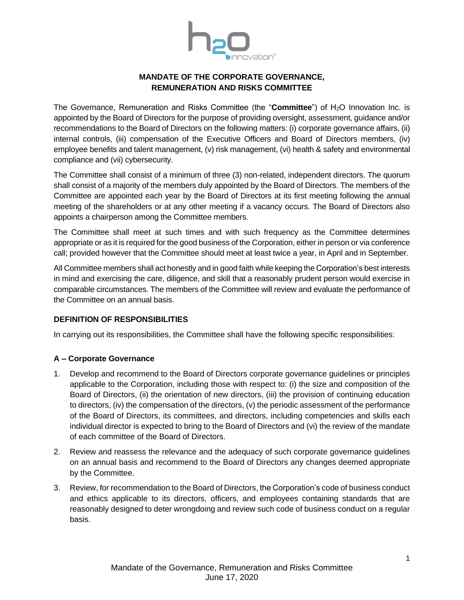

# **MANDATE OF THE CORPORATE GOVERNANCE, REMUNERATION AND RISKS COMMITTEE**

The Governance, Remuneration and Risks Committee (the "Committee") of H<sub>2</sub>O Innovation Inc. is appointed by the Board of Directors for the purpose of providing oversight, assessment, guidance and/or recommendations to the Board of Directors on the following matters: (i) corporate governance affairs, (ii) internal controls, (iii) compensation of the Executive Officers and Board of Directors members, (iv) employee benefits and talent management, (v) risk management, (vi) health & safety and environmental compliance and (vii) cybersecurity.

The Committee shall consist of a minimum of three (3) non-related, independent directors. The quorum shall consist of a majority of the members duly appointed by the Board of Directors. The members of the Committee are appointed each year by the Board of Directors at its first meeting following the annual meeting of the shareholders or at any other meeting if a vacancy occurs. The Board of Directors also appoints a chairperson among the Committee members.

The Committee shall meet at such times and with such frequency as the Committee determines appropriate or as it is required for the good business of the Corporation, either in person or via conference call; provided however that the Committee should meet at least twice a year, in April and in September.

All Committee members shall act honestly and in good faith while keeping the Corporation's best interests in mind and exercising the care, diligence, and skill that a reasonably prudent person would exercise in comparable circumstances. The members of the Committee will review and evaluate the performance of the Committee on an annual basis.

## **DEFINITION OF RESPONSIBILITIES**

In carrying out its responsibilities, the Committee shall have the following specific responsibilities:

## **A – Corporate Governance**

- 1. Develop and recommend to the Board of Directors corporate governance guidelines or principles applicable to the Corporation, including those with respect to: (i) the size and composition of the Board of Directors, (ii) the orientation of new directors, (iii) the provision of continuing education to directors, (iv) the compensation of the directors, (v) the periodic assessment of the performance of the Board of Directors, its committees, and directors, including competencies and skills each individual director is expected to bring to the Board of Directors and (vi) the review of the mandate of each committee of the Board of Directors.
- 2. Review and reassess the relevance and the adequacy of such corporate governance guidelines on an annual basis and recommend to the Board of Directors any changes deemed appropriate by the Committee.
- 3. Review, for recommendation to the Board of Directors, the Corporation's code of business conduct and ethics applicable to its directors, officers, and employees containing standards that are reasonably designed to deter wrongdoing and review such code of business conduct on a regular basis.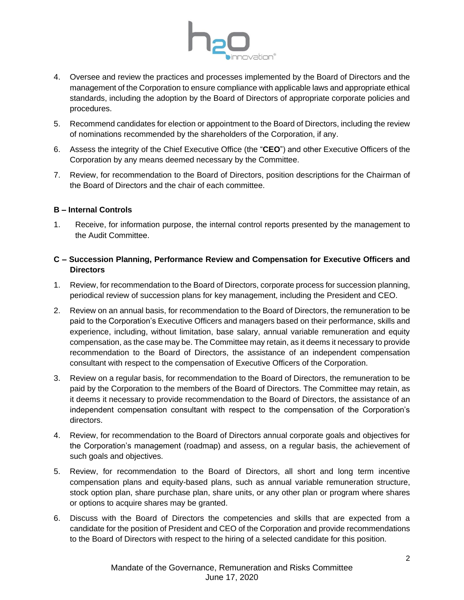

- 4. Oversee and review the practices and processes implemented by the Board of Directors and the management of the Corporation to ensure compliance with applicable laws and appropriate ethical standards, including the adoption by the Board of Directors of appropriate corporate policies and procedures.
- 5. Recommend candidates for election or appointment to the Board of Directors, including the review of nominations recommended by the shareholders of the Corporation, if any.
- 6. Assess the integrity of the Chief Executive Office (the "**CEO**") and other Executive Officers of the Corporation by any means deemed necessary by the Committee.
- 7. Review, for recommendation to the Board of Directors, position descriptions for the Chairman of the Board of Directors and the chair of each committee.

### **B – Internal Controls**

1. Receive, for information purpose, the internal control reports presented by the management to the Audit Committee.

## **C – Succession Planning, Performance Review and Compensation for Executive Officers and Directors**

- 1. Review, for recommendation to the Board of Directors, corporate process for succession planning, periodical review of succession plans for key management, including the President and CEO.
- 2. Review on an annual basis, for recommendation to the Board of Directors, the remuneration to be paid to the Corporation's Executive Officers and managers based on their performance, skills and experience, including, without limitation, base salary, annual variable remuneration and equity compensation, as the case may be. The Committee may retain, as it deems it necessary to provide recommendation to the Board of Directors, the assistance of an independent compensation consultant with respect to the compensation of Executive Officers of the Corporation.
- 3. Review on a regular basis, for recommendation to the Board of Directors, the remuneration to be paid by the Corporation to the members of the Board of Directors. The Committee may retain, as it deems it necessary to provide recommendation to the Board of Directors, the assistance of an independent compensation consultant with respect to the compensation of the Corporation's directors.
- 4. Review, for recommendation to the Board of Directors annual corporate goals and objectives for the Corporation's management (roadmap) and assess, on a regular basis, the achievement of such goals and objectives.
- 5. Review, for recommendation to the Board of Directors, all short and long term incentive compensation plans and equity-based plans, such as annual variable remuneration structure, stock option plan, share purchase plan, share units, or any other plan or program where shares or options to acquire shares may be granted.
- 6. Discuss with the Board of Directors the competencies and skills that are expected from a candidate for the position of President and CEO of the Corporation and provide recommendations to the Board of Directors with respect to the hiring of a selected candidate for this position.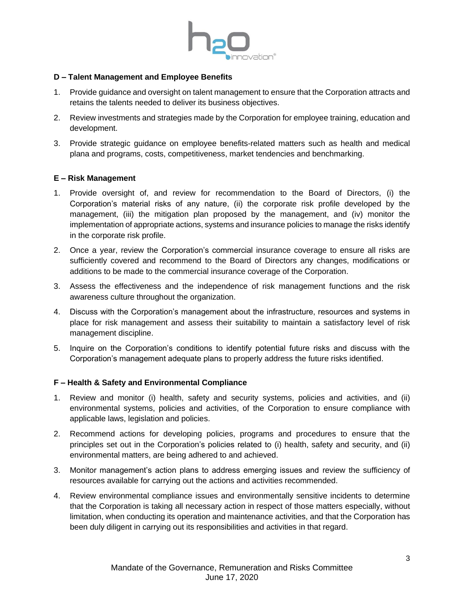

### **D – Talent Management and Employee Benefits**

- 1. Provide guidance and oversight on talent management to ensure that the Corporation attracts and retains the talents needed to deliver its business objectives.
- 2. Review investments and strategies made by the Corporation for employee training, education and development.
- 3. Provide strategic guidance on employee benefits-related matters such as health and medical plana and programs, costs, competitiveness, market tendencies and benchmarking.

#### **E – Risk Management**

- 1. Provide oversight of, and review for recommendation to the Board of Directors, (i) the Corporation's material risks of any nature, (ii) the corporate risk profile developed by the management, (iii) the mitigation plan proposed by the management, and (iv) monitor the implementation of appropriate actions, systems and insurance policies to manage the risks identify in the corporate risk profile.
- 2. Once a year, review the Corporation's commercial insurance coverage to ensure all risks are sufficiently covered and recommend to the Board of Directors any changes, modifications or additions to be made to the commercial insurance coverage of the Corporation.
- 3. Assess the effectiveness and the independence of risk management functions and the risk awareness culture throughout the organization.
- 4. Discuss with the Corporation's management about the infrastructure, resources and systems in place for risk management and assess their suitability to maintain a satisfactory level of risk management discipline.
- 5. Inquire on the Corporation's conditions to identify potential future risks and discuss with the Corporation's management adequate plans to properly address the future risks identified.

### **F – Health & Safety and Environmental Compliance**

- 1. Review and monitor (i) health, safety and security systems, policies and activities, and (ii) environmental systems, policies and activities, of the Corporation to ensure compliance with applicable laws, legislation and policies.
- 2. Recommend actions for developing policies, programs and procedures to ensure that the principles set out in the Corporation's policies related to (i) health, safety and security, and (ii) environmental matters, are being adhered to and achieved.
- 3. Monitor management's action plans to address emerging issues and review the sufficiency of resources available for carrying out the actions and activities recommended.
- 4. Review environmental compliance issues and environmentally sensitive incidents to determine that the Corporation is taking all necessary action in respect of those matters especially, without limitation, when conducting its operation and maintenance activities, and that the Corporation has been duly diligent in carrying out its responsibilities and activities in that regard.